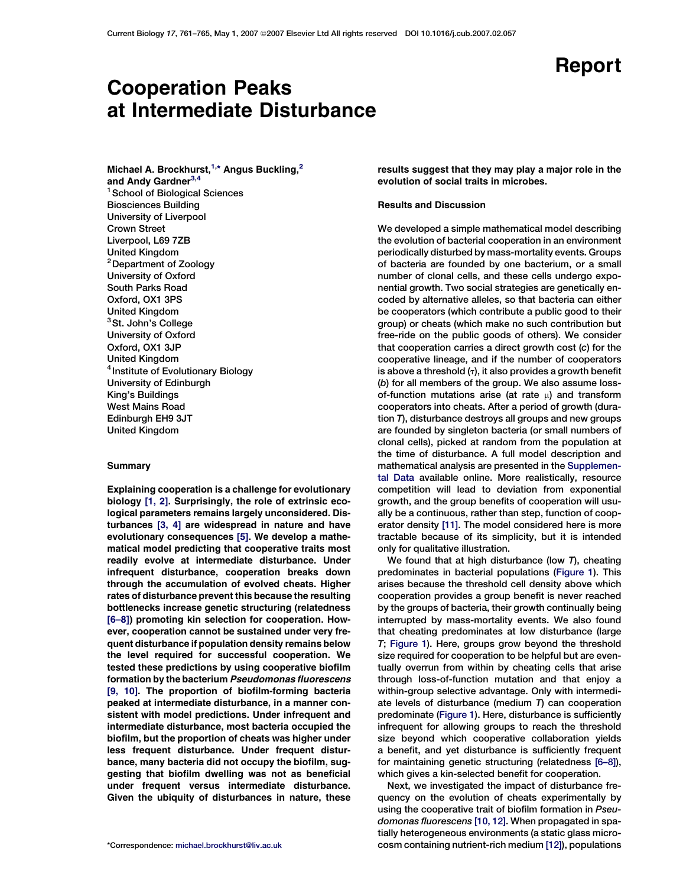## Report

# Cooperation Peaks at Intermediate Disturbance

Michael A. Brockhurst, $^{1,*}$  Angus Buckling, $^2$ and Andy Gardner<sup>3,4</sup> <sup>1</sup> School of Biological Sciences Biosciences Building University of Liverpool Crown Street Liverpool, L69 7ZB United Kingdom <sup>2</sup> Department of Zoology University of Oxford South Parks Road Oxford, OX1 3PS United Kingdom <sup>3</sup>St. John's College University of Oxford Oxford, OX1 3JP United Kingdom <sup>4</sup> Institute of Evolutionary Biology University of Edinburgh King's Buildings West Mains Road Edinburgh EH9 3JT United Kingdom

### **Summary**

Explaining cooperation is a challenge for evolutionary biology [\[1, 2\].](#page-3-0) Surprisingly, the role of extrinsic ecological parameters remains largely unconsidered. Disturbances [\[3, 4\]](#page-3-0) are widespread in nature and have evolutionary consequences [\[5\].](#page-3-0) We develop a mathematical model predicting that cooperative traits most readily evolve at intermediate disturbance. Under infrequent disturbance, cooperation breaks down through the accumulation of evolved cheats. Higher rates of disturbance prevent this because the resulting bottlenecks increase genetic structuring (relatedness [\[6–8\]](#page-3-0)) promoting kin selection for cooperation. However, cooperation cannot be sustained under very frequent disturbance if population density remains below the level required for successful cooperation. We tested these predictions by using cooperative biofilm formation by the bacterium Pseudomonas fluorescens [\[9, 10\].](#page-3-0) The proportion of biofilm-forming bacteria peaked at intermediate disturbance, in a manner consistent with model predictions. Under infrequent and intermediate disturbance, most bacteria occupied the biofilm, but the proportion of cheats was higher under less frequent disturbance. Under frequent disturbance, many bacteria did not occupy the biofilm, suggesting that biofilm dwelling was not as beneficial under frequent versus intermediate disturbance. Given the ubiquity of disturbances in nature, these

results suggest that they may play a major role in the evolution of social traits in microbes.

### Results and Discussion

We developed a simple mathematical model describing the evolution of bacterial cooperation in an environment periodically disturbed by mass-mortality events. Groups of bacteria are founded by one bacterium, or a small number of clonal cells, and these cells undergo exponential growth. Two social strategies are genetically encoded by alternative alleles, so that bacteria can either be cooperators (which contribute a public good to their group) or cheats (which make no such contribution but free-ride on the public goods of others). We consider that cooperation carries a direct growth cost (c) for the cooperative lineage, and if the number of cooperators is above a threshold  $(\tau)$ , it also provides a growth benefit (b) for all members of the group. We also assume lossof-function mutations arise (at rate  $\mu$ ) and transform cooperators into cheats. After a period of growth (duration T), disturbance destroys all groups and new groups are founded by singleton bacteria (or small numbers of clonal cells), picked at random from the population at the time of disturbance. A full model description and mathematical analysis are presented in the [Supplemen](#page-3-0)[tal Data](#page-3-0) available online. More realistically, resource competition will lead to deviation from exponential growth, and the group benefits of cooperation will usually be a continuous, rather than step, function of cooperator density [\[11\].](#page-3-0) The model considered here is more tractable because of its simplicity, but it is intended only for qualitative illustration.

We found that at high disturbance (low  $T$ ), cheating predominates in bacterial populations [\(Figure 1](#page-1-0)). This arises because the threshold cell density above which cooperation provides a group benefit is never reached by the groups of bacteria, their growth continually being interrupted by mass-mortality events. We also found that cheating predominates at low disturbance (large T; [Figure 1](#page-1-0)). Here, groups grow beyond the threshold size required for cooperation to be helpful but are eventually overrun from within by cheating cells that arise through loss-of-function mutation and that enjoy a within-group selective advantage. Only with intermediate levels of disturbance (medium T) can cooperation predominate [\(Figure 1\)](#page-1-0). Here, disturbance is sufficiently infrequent for allowing groups to reach the threshold size beyond which cooperative collaboration yields a benefit, and yet disturbance is sufficiently frequent for maintaining genetic structuring (relatedness [\[6–8\]](#page-3-0)), which gives a kin-selected benefit for cooperation.

Next, we investigated the impact of disturbance frequency on the evolution of cheats experimentally by using the cooperative trait of biofilm formation in Pseudomonas fluorescens [\[10, 12\].](#page-3-0) When propagated in spatially heterogeneous environments (a static glass micro- \*Correspondence: [michael.brockhurst@liv.ac.uk](mailto:michael.brockhurst@liv.ac.uk) cosm containing nutrient-rich medium [\[12\]](#page-3-0)), populations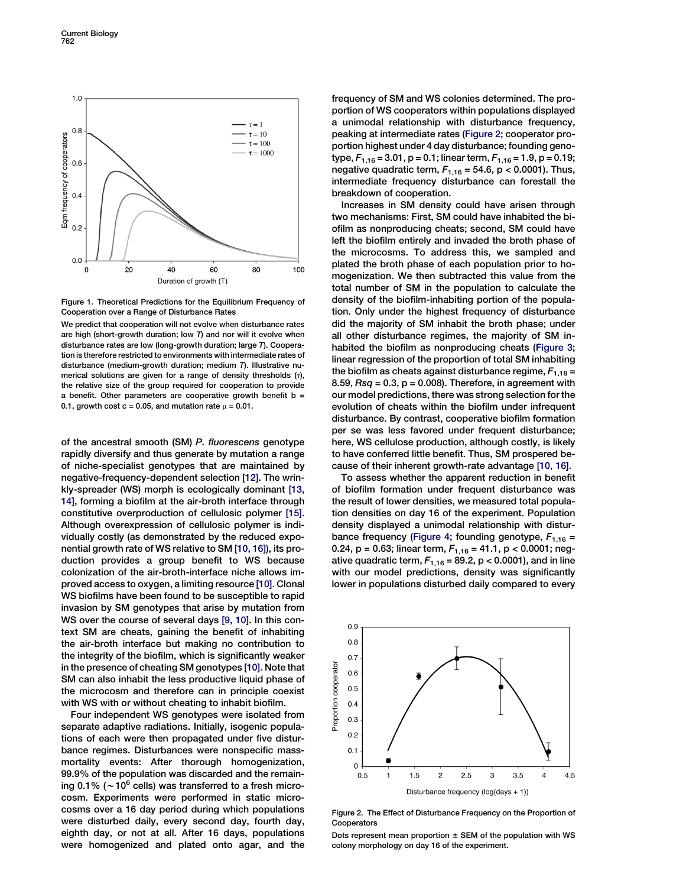<span id="page-1-0"></span>

Figure 1. Theoretical Predictions for the Equilibrium Frequency of Cooperation over a Range of Disturbance Rates

We predict that cooperation will not evolve when disturbance rates are high (short-growth duration; low T) and nor will it evolve when disturbance rates are low (long-growth duration; large T). Cooperation is therefore restricted to environments with intermediate rates of disturbance (medium-growth duration; medium T). Illustrative numerical solutions are given for a range of density thresholds  $(τ)$ , the relative size of the group required for cooperation to provide a benefit. Other parameters are cooperative growth benefit  $b =$ 0.1, growth cost  $c = 0.05$ , and mutation rate  $\mu = 0.01$ .

of the ancestral smooth (SM) P. fluorescens genotype rapidly diversify and thus generate by mutation a range of niche-specialist genotypes that are maintained by negative-frequency-dependent selection [\[12\]](#page-3-0). The wrinkly-spreader (WS) morph is ecologically dominant [\[13,](#page-3-0) [14\],](#page-3-0) forming a biofilm at the air-broth interface through constitutive overproduction of cellulosic polymer [\[15\].](#page-3-0) Although overexpression of cellulosic polymer is individually costly (as demonstrated by the reduced exponential growth rate of WS relative to SM [\[10, 16\]](#page-3-0)), its production provides a group benefit to WS because colonization of the air-broth-interface niche allows improved access to oxygen, a limiting resource [\[10\].](#page-3-0) Clonal WS biofilms have been found to be susceptible to rapid invasion by SM genotypes that arise by mutation from WS over the course of several days [\[9, 10\].](#page-3-0) In this context SM are cheats, gaining the benefit of inhabiting the air-broth interface but making no contribution to the integrity of the biofilm, which is significantly weaker in the presence of cheating SM genotypes [\[10\].](#page-3-0) Note that SM can also inhabit the less productive liquid phase of the microcosm and therefore can in principle coexist with WS with or without cheating to inhabit biofilm.

Four independent WS genotypes were isolated from separate adaptive radiations. Initially, isogenic populations of each were then propagated under five disturbance regimes. Disturbances were nonspecific massmortality events: After thorough homogenization, 99.9% of the population was discarded and the remaining 0.1% ( $\sim$ 10<sup>6</sup> cells) was transferred to a fresh microcosm. Experiments were performed in static microcosms over a 16 day period during which populations were disturbed daily, every second day, fourth day, eighth day, or not at all. After 16 days, populations were homogenized and plated onto agar, and the frequency of SM and WS colonies determined. The proportion of WS cooperators within populations displayed a unimodal relationship with disturbance frequency, peaking at intermediate rates (Figure 2; cooperator proportion highest under 4 day disturbance; founding genotype,  $F_{1,16}$  = 3.01, p = 0.1; linear term,  $F_{1,16}$  = 1.9, p = 0.19; negative quadratic term,  $F_{1,16} = 54.6$ , p < 0.0001). Thus, intermediate frequency disturbance can forestall the breakdown of cooperation.

Increases in SM density could have arisen through two mechanisms: First, SM could have inhabited the biofilm as nonproducing cheats; second, SM could have left the biofilm entirely and invaded the broth phase of the microcosms. To address this, we sampled and plated the broth phase of each population prior to homogenization. We then subtracted this value from the total number of SM in the population to calculate the density of the biofilm-inhabiting portion of the population. Only under the highest frequency of disturbance did the majority of SM inhabit the broth phase; under all other disturbance regimes, the majority of SM inhabited the biofilm as nonproducing cheats [\(Figure 3;](#page-2-0) linear regression of the proportion of total SM inhabiting the biofilm as cheats against disturbance regime,  $F_{1,18}$  = 8.59,  $Rsq = 0.3$ ,  $p = 0.008$ ). Therefore, in agreement with our model predictions, there was strong selection for the evolution of cheats within the biofilm under infrequent disturbance. By contrast, cooperative biofilm formation per se was less favored under frequent disturbance; here, WS cellulose production, although costly, is likely to have conferred little benefit. Thus, SM prospered because of their inherent growth-rate advantage [\[10, 16\].](#page-3-0)

To assess whether the apparent reduction in benefit of biofilm formation under frequent disturbance was the result of lower densities, we measured total population densities on day 16 of the experiment. Population density displayed a unimodal relationship with distur-bance frequency ([Figure 4](#page-2-0); founding genotype,  $F_{1,16}$  = 0.24, p = 0.63; linear term,  $F_{1,16}$  = 41.1, p < 0.0001; negative quadratic term,  $F_{1,16} = 89.2$ , p < 0.0001), and in line with our model predictions, density was significantly lower in populations disturbed daily compared to every



Figure 2. The Effect of Disturbance Frequency on the Proportion of Cooperators

Dots represent mean proportion  $\pm$  SEM of the population with WS colony morphology on day 16 of the experiment.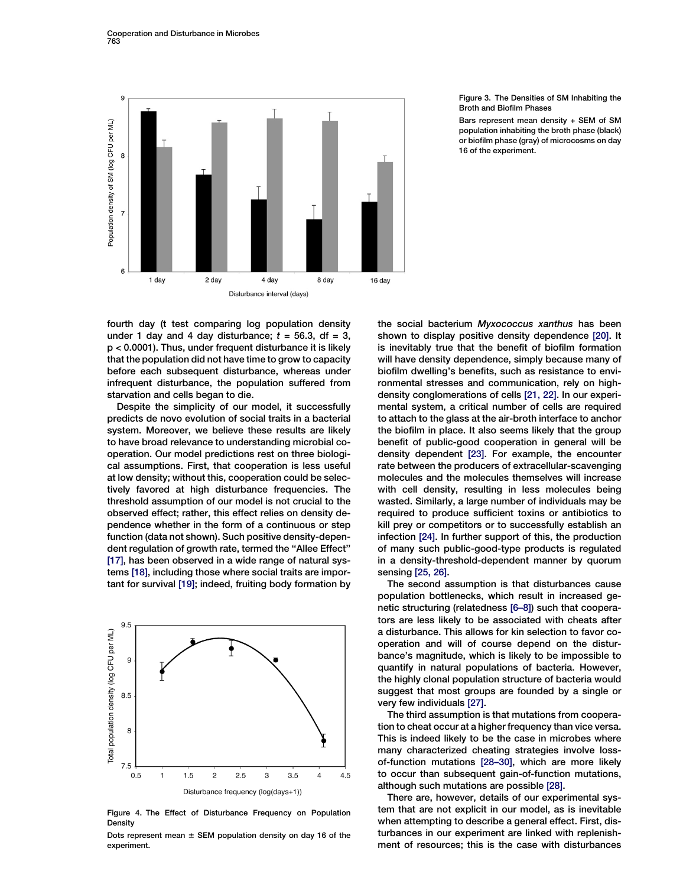<span id="page-2-0"></span>

fourth day (t test comparing log population density under 1 day and 4 day disturbance;  $t = 56.3$ , df = 3, p < 0.0001). Thus, under frequent disturbance it is likely that the population did not have time to grow to capacity before each subsequent disturbance, whereas under infrequent disturbance, the population suffered from starvation and cells began to die.

Despite the simplicity of our model, it successfully predicts de novo evolution of social traits in a bacterial system. Moreover, we believe these results are likely to have broad relevance to understanding microbial cooperation. Our model predictions rest on three biological assumptions. First, that cooperation is less useful at low density; without this, cooperation could be selectively favored at high disturbance frequencies. The threshold assumption of our model is not crucial to the observed effect; rather, this effect relies on density dependence whether in the form of a continuous or step function (data not shown). Such positive density-dependent regulation of growth rate, termed the ''Allee Effect'' [\[17\],](#page-3-0) has been observed in a wide range of natural systems [\[18\]](#page-3-0), including those where social traits are important for survival [\[19\]](#page-3-0); indeed, fruiting body formation by



Figure 4. The Effect of Disturbance Frequency on Population **Density** 

Dots represent mean  $\pm$  SEM population density on day 16 of the experiment.

#### Figure 3. The Densities of SM Inhabiting the Broth and Biofilm Phases

Bars represent mean density + SEM of SM population inhabiting the broth phase (black) or biofilm phase (gray) of microcosms on day 16 of the experiment.

the social bacterium Myxococcus xanthus has been shown to display positive density dependence [\[20\].](#page-4-0) It is inevitably true that the benefit of biofilm formation will have density dependence, simply because many of biofilm dwelling's benefits, such as resistance to environmental stresses and communication, rely on highdensity conglomerations of cells [\[21, 22\].](#page-4-0) In our experimental system, a critical number of cells are required to attach to the glass at the air-broth interface to anchor the biofilm in place. It also seems likely that the group benefit of public-good cooperation in general will be density dependent [\[23\].](#page-4-0) For example, the encounter rate between the producers of extracellular-scavenging molecules and the molecules themselves will increase with cell density, resulting in less molecules being wasted. Similarly, a large number of individuals may be required to produce sufficient toxins or antibiotics to kill prey or competitors or to successfully establish an infection [\[24\]](#page-4-0). In further support of this, the production of many such public-good-type products is regulated in a density-threshold-dependent manner by quorum sensing [\[25, 26\].](#page-4-0)

The second assumption is that disturbances cause population bottlenecks, which result in increased genetic structuring (relatedness [\[6–8\]](#page-3-0)) such that cooperators are less likely to be associated with cheats after a disturbance. This allows for kin selection to favor cooperation and will of course depend on the disturbance's magnitude, which is likely to be impossible to quantify in natural populations of bacteria. However, the highly clonal population structure of bacteria would suggest that most groups are founded by a single or very few individuals [\[27\]](#page-4-0).

The third assumption is that mutations from cooperation to cheat occur at a higher frequency than vice versa. This is indeed likely to be the case in microbes where many characterized cheating strategies involve lossof-function mutations [\[28–30\],](#page-4-0) which are more likely to occur than subsequent gain-of-function mutations, although such mutations are possible [\[28\]](#page-4-0).

There are, however, details of our experimental system that are not explicit in our model, as is inevitable when attempting to describe a general effect. First, disturbances in our experiment are linked with replenishment of resources; this is the case with disturbances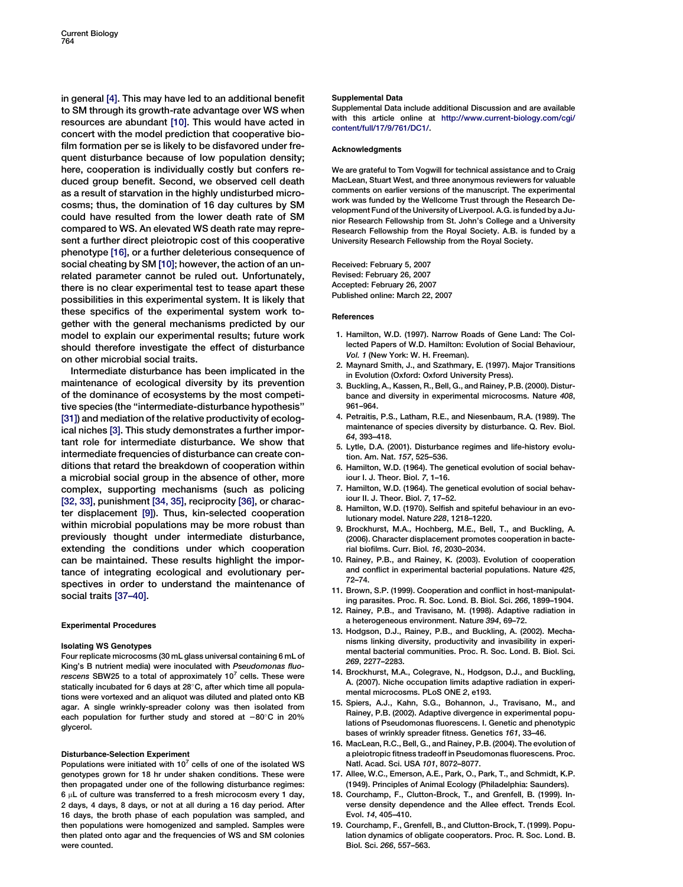<span id="page-3-0"></span>in general [4]. This may have led to an additional benefit to SM through its growth-rate advantage over WS when resources are abundant [10]. This would have acted in concert with the model prediction that cooperative biofilm formation per se is likely to be disfavored under frequent disturbance because of low population density; here, cooperation is individually costly but confers reduced group benefit. Second, we observed cell death as a result of starvation in the highly undisturbed microcosms; thus, the domination of 16 day cultures by SM could have resulted from the lower death rate of SM compared to WS. An elevated WS death rate may represent a further direct pleiotropic cost of this cooperative phenotype [16], or a further deleterious consequence of social cheating by SM [10]; however, the action of an unrelated parameter cannot be ruled out. Unfortunately, there is no clear experimental test to tease apart these possibilities in this experimental system. It is likely that these specifics of the experimental system work together with the general mechanisms predicted by our model to explain our experimental results; future work should therefore investigate the effect of disturbance on other microbial social traits.

Intermediate disturbance has been implicated in the maintenance of ecological diversity by its prevention of the dominance of ecosystems by the most competitive species (the ''intermediate-disturbance hypothesis'' [\[31\]](#page-4-0)) and mediation of the relative productivity of ecological niches [3]. This study demonstrates a further important role for intermediate disturbance. We show that intermediate frequencies of disturbance can create conditions that retard the breakdown of cooperation within a microbial social group in the absence of other, more complex, supporting mechanisms (such as policing [\[32, 33\]](#page-4-0), punishment [\[34, 35\],](#page-4-0) reciprocity [\[36\],](#page-4-0) or character displacement [9]). Thus, kin-selected cooperation within microbial populations may be more robust than previously thought under intermediate disturbance, extending the conditions under which cooperation can be maintained. These results highlight the importance of integrating ecological and evolutionary perspectives in order to understand the maintenance of social traits [\[37–40\]](#page-4-0).

#### Experimental Procedures

#### Isolating WS Genotypes

Four replicate microcosms (30 mL glass universal containing 6 mL of King's B nutrient media) were inoculated with Pseudomonas fluorescens SBW25 to a total of approximately  $10^7$  cells. These were statically incubated for 6 days at 28 $^{\circ}$ C, after which time all populations were vortexed and an aliquot was diluted and plated onto KB agar. A single wrinkly-spreader colony was then isolated from each population for further study and stored at  $-80^{\circ}$ C in 20% glycerol.

#### Disturbance-Selection Experiment

Populations were initiated with  $10<sup>7</sup>$  cells of one of the isolated WS genotypes grown for 18 hr under shaken conditions. These were then propagated under one of the following disturbance regimes:  $6 \mu$ L of culture was transferred to a fresh microcosm every 1 day, 2 days, 4 days, 8 days, or not at all during a 16 day period. After 16 days, the broth phase of each population was sampled, and then populations were homogenized and sampled. Samples were then plated onto agar and the frequencies of WS and SM colonies were counted.

#### Supplemental Data

Supplemental Data include additional Discussion and are available with this article online at [http://www.current-biology.com/cgi/](http://www.current-biology.com/cgi/content/full/17/9/761/DC1/) [content/full/17/9/761/DC1/](http://www.current-biology.com/cgi/content/full/17/9/761/DC1/).

#### Acknowledgments

We are grateful to Tom Vogwill for technical assistance and to Craig MacLean, Stuart West, and three anonymous reviewers for valuable comments on earlier versions of the manuscript. The experimental work was funded by the Wellcome Trust through the Research Development Fund of the University of Liverpool. A.G. is funded by a Junior Research Fellowship from St. John's College and a University Research Fellowship from the Royal Society. A.B. is funded by a University Research Fellowship from the Royal Society.

Received: February 5, 2007 Revised: February 26, 2007 Accepted: February 26, 2007 Published online: March 22, 2007

#### References

- 1. Hamilton, W.D. (1997). Narrow Roads of Gene Land: The Collected Papers of W.D. Hamilton: Evolution of Social Behaviour, Vol. 1 (New York: W. H. Freeman).
- 2. Maynard Smith, J., and Szathmary, E. (1997). Major Transitions in Evolution (Oxford: Oxford University Press).
- 3. Buckling, A., Kassen, R., Bell, G., and Rainey, P.B. (2000). Disturbance and diversity in experimental microcosms. Nature 408, 961–964.
- 4. Petraitis, P.S., Latham, R.E., and Niesenbaum, R.A. (1989). The maintenance of species diversity by disturbance. Q. Rev. Biol. 64, 393–418.
- 5. Lytle, D.A. (2001). Disturbance regimes and life-history evolution. Am. Nat. 157, 525–536.
- 6. Hamilton, W.D. (1964). The genetical evolution of social behaviour I. J. Theor. Biol. 7, 1–16.
- 7. Hamilton, W.D. (1964). The genetical evolution of social behaviour II. J. Theor. Biol. 7, 17–52.
- 8. Hamilton, W.D. (1970). Selfish and spiteful behaviour in an evolutionary model. Nature 228, 1218–1220.
- 9. Brockhurst, M.A., Hochberg, M.E., Bell, T., and Buckling, A. (2006). Character displacement promotes cooperation in bacterial biofilms. Curr. Biol. 16, 2030–2034.
- 10. Rainey, P.B., and Rainey, K. (2003). Evolution of cooperation and conflict in experimental bacterial populations. Nature 425, 72–74.
- 11. Brown, S.P. (1999). Cooperation and conflict in host-manipulating parasites. Proc. R. Soc. Lond. B. Biol. Sci. 266, 1899–1904.
- 12. Rainey, P.B., and Travisano, M. (1998). Adaptive radiation in a heterogeneous environment. Nature 394, 69–72.
- 13. Hodgson, D.J., Rainey, P.B., and Buckling, A. (2002). Mechanisms linking diversity, productivity and invasibility in experimental bacterial communities. Proc. R. Soc. Lond. B. Biol. Sci. 269, 2277–2283.
- 14. Brockhurst, M.A., Colegrave, N., Hodgson, D.J., and Buckling, A. (2007). Niche occupation limits adaptive radiation in experimental microcosms. PLoS ONE 2, e193.
- 15. Spiers, A.J., Kahn, S.G., Bohannon, J., Travisano, M., and Rainey, P.B. (2002). Adaptive divergence in experimental populations of Pseudomonas fluorescens. I. Genetic and phenotypic bases of wrinkly spreader fitness. Genetics 161, 33–46.
- 16. MacLean, R.C., Bell, G., and Rainey, P.B. (2004). The evolution of a pleiotropic fitness tradeoff in Pseudomonas fluorescens. Proc. Natl. Acad. Sci. USA 101, 8072–8077.
- 17. Allee, W.C., Emerson, A.E., Park, O., Park, T., and Schmidt, K.P. (1949). Principles of Animal Ecology (Philadelphia: Saunders).
- 18. Courchamp, F., Clutton-Brock, T., and Grenfell, B. (1999). Inverse density dependence and the Allee effect. Trends Ecol. Evol. 14, 405–410.
- 19. Courchamp, F., Grenfell, B., and Clutton-Brock, T. (1999). Population dynamics of obligate cooperators. Proc. R. Soc. Lond. B. Biol. Sci. 266, 557–563.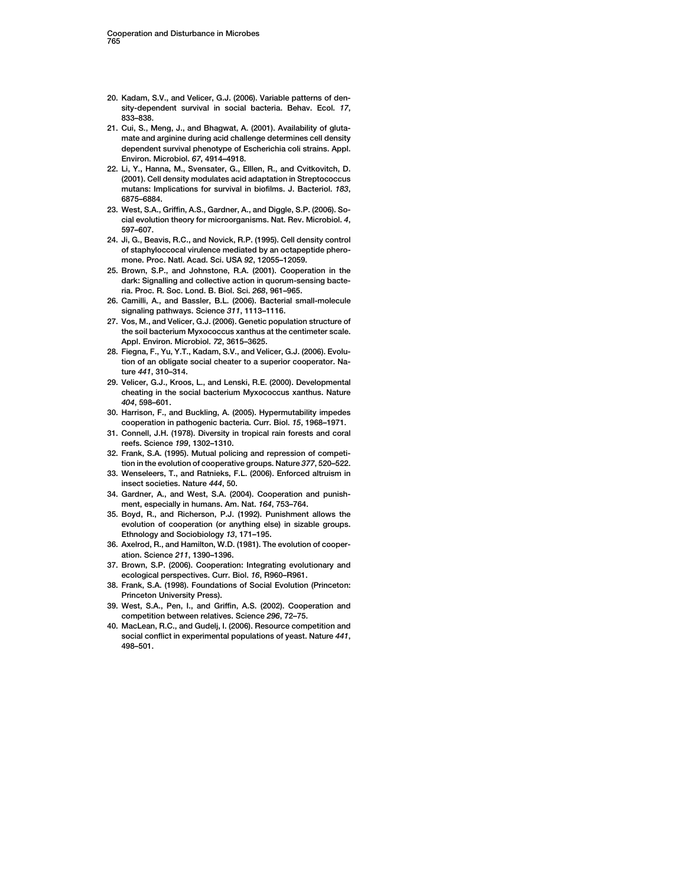- <span id="page-4-0"></span>20. Kadam, S.V., and Velicer, G.J. (2006). Variable patterns of density-dependent survival in social bacteria. Behav. Ecol. 17, 833–838.
- 21. Cui, S., Meng, J., and Bhagwat, A. (2001). Availability of glutamate and arginine during acid challenge determines cell density dependent survival phenotype of Escherichia coli strains. Appl. Environ. Microbiol. 67, 4914–4918.
- 22. Li, Y., Hanna, M., Svensater, G., Elllen, R., and Cvitkovitch, D. (2001). Cell density modulates acid adaptation in Streptococcus mutans: Implications for survival in biofilms. J. Bacteriol. 183, 6875–6884.
- 23. West, S.A., Griffin, A.S., Gardner, A., and Diggle, S.P. (2006). Social evolution theory for microorganisms. Nat. Rev. Microbiol. 4, 597–607.
- 24. Ji, G., Beavis, R.C., and Novick, R.P. (1995). Cell density control of staphyloccocal virulence mediated by an octapeptide pheromone. Proc. Natl. Acad. Sci. USA 92, 12055–12059.
- 25. Brown, S.P., and Johnstone, R.A. (2001). Cooperation in the dark: Signalling and collective action in quorum-sensing bacteria. Proc. R. Soc. Lond. B. Biol. Sci. 268, 961–965.
- 26. Camilli, A., and Bassler, B.L. (2006). Bacterial small-molecule signaling pathways. Science 311, 1113–1116.
- 27. Vos, M., and Velicer, G.J. (2006). Genetic population structure of the soil bacterium Myxococcus xanthus at the centimeter scale. Appl. Environ. Microbiol. 72, 3615–3625.
- 28. Fiegna, F., Yu, Y.T., Kadam, S.V., and Velicer, G.J. (2006). Evolution of an obligate social cheater to a superior cooperator. Nature 441, 310–314.
- 29. Velicer, G.J., Kroos, L., and Lenski, R.E. (2000). Developmental cheating in the social bacterium Myxococcus xanthus. Nature 404, 598–601.
- 30. Harrison, F., and Buckling, A. (2005). Hypermutability impedes cooperation in pathogenic bacteria. Curr. Biol. 15, 1968–1971.
- 31. Connell, J.H. (1978). Diversity in tropical rain forests and coral reefs. Science 199, 1302–1310.
- 32. Frank, S.A. (1995). Mutual policing and repression of competition in the evolution of cooperative groups. Nature 377, 520–522.
- 33. Wenseleers, T., and Ratnieks, F.L. (2006). Enforced altruism in insect societies. Nature 444, 50.
- 34. Gardner, A., and West, S.A. (2004). Cooperation and punishment, especially in humans. Am. Nat. 164, 753–764.
- 35. Boyd, R., and Richerson, P.J. (1992). Punishment allows the evolution of cooperation (or anything else) in sizable groups. Ethnology and Sociobiology 13, 171–195.
- 36. Axelrod, R., and Hamilton, W.D. (1981). The evolution of cooperation. Science 211, 1390–1396.
- 37. Brown, S.P. (2006). Cooperation: Integrating evolutionary and ecological perspectives. Curr. Biol. 16, R960–R961.
- 38. Frank, S.A. (1998). Foundations of Social Evolution (Princeton: Princeton University Press).
- 39. West, S.A., Pen, I., and Griffin, A.S. (2002). Cooperation and competition between relatives. Science 296, 72–75.
- 40. MacLean, R.C., and Gudelj, I. (2006). Resource competition and social conflict in experimental populations of yeast. Nature 441, 498–501.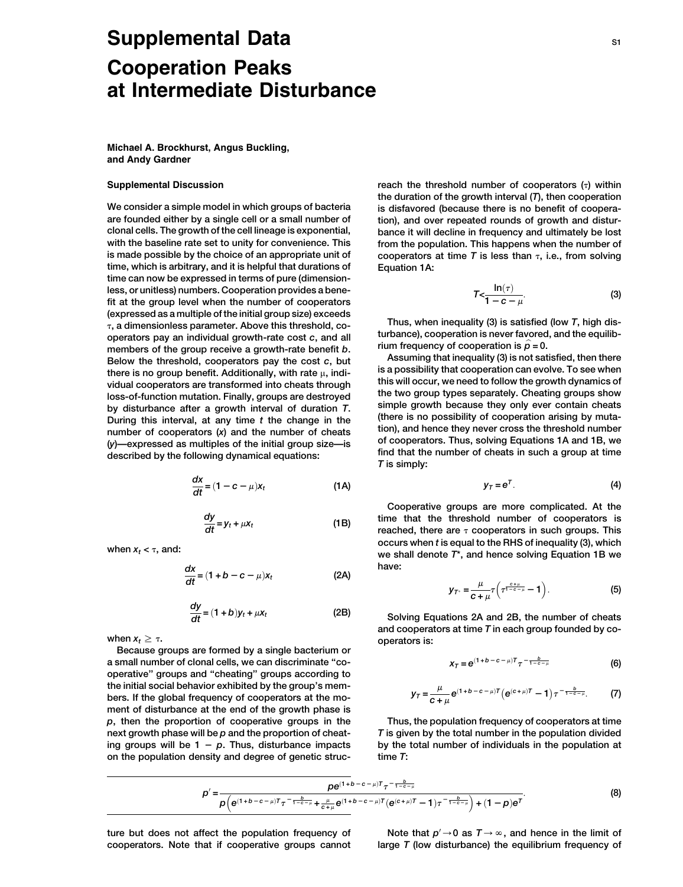# Supplemental Data S1 and S1 and S1 and S1 and S1 and S1 and S1 and S1 and S1 and S1 and S1 and S1 and S1 and S1 and S1 and S1 and S1 and S1 and S1 and S1 and S1 and S1 and S1 and S1 and S1 and S1 and S1 and S1 and S1 and S Cooperation Peaks at Intermediate Disturbance

Michael A. Brockhurst, Angus Buckling, and Andy Gardner

#### Supplemental Discussion

We consider a simple model in which groups of bacteria are founded either by a single cell or a small number of clonal cells. The growth of the cell lineage is exponential, with the baseline rate set to unity for convenience. This is made possible by the choice of an appropriate unit of time, which is arbitrary, and it is helpful that durations of time can now be expressed in terms of pure (dimensionless, or unitless) numbers. Cooperation provides a benefit at the group level when the number of cooperators (expressed as a multiple of the initial group size) exceeds  $\tau$ , a dimensionless parameter. Above this threshold, cooperators pay an individual growth-rate cost c, and all members of the group receive a growth-rate benefit b. Below the threshold, cooperators pay the cost c, but there is no group benefit. Additionally, with rate  $\mu$ , individual cooperators are transformed into cheats through loss-of-function mutation. Finally, groups are destroyed by disturbance after a growth interval of duration T. During this interval, at any time  $t$  the change in the number of cooperators  $(x)$  and the number of cheats (y)—expressed as multiples of the initial group size—is described by the following dynamical equations:

$$
\frac{dx}{dt} = (1 - c - \mu)x_t
$$
 (1A)

$$
\frac{dy}{dt} = y_t + \mu x_t \tag{1B}
$$

when  $x_t < \tau$ , and:

$$
\frac{dx}{dt} = (1 + b - c - \mu)x_t
$$
 (2A)

$$
\frac{dy}{dt} = (1+b)y_t + \mu x_t
$$
 (2B)

when  $x_t \geq \tau$ .

Because groups are formed by a single bacterium or a small number of clonal cells, we can discriminate ''cooperative'' groups and ''cheating'' groups according to the initial social behavior exhibited by the group's members. If the global frequency of cooperators at the moment of disturbance at the end of the growth phase is  $p$ , then the proportion of cooperative groups in the next growth phase will be  $p$  and the proportion of cheating groups will be  $1 - p$ . Thus, disturbance impacts on the population density and degree of genetic strucreach the threshold number of cooperators  $(\tau)$  within the duration of the growth interval  $(T)$ , then cooperation is disfavored (because there is no benefit of cooperation), and over repeated rounds of growth and disturbance it will decline in frequency and ultimately be lost from the population. This happens when the number of cooperators at time  $T$  is less than  $\tau$ , i.e., from solving Equation 1A:

$$
T<\frac{\ln(\tau)}{1-c-\mu}.
$$
 (3)

Thus, when inequality (3) is satisfied (low  $T$ , high disturbance), cooperation is never favored, and the equilibrium frequency of cooperation is  $p = 0$ .

Assuming that inequality (3) is not satisfied, then there is a possibility that cooperation can evolve. To see when this will occur, we need to follow the growth dynamics of the two group types separately. Cheating groups show simple growth because they only ever contain cheats (there is no possibility of cooperation arising by mutation), and hence they never cross the threshold number of cooperators. Thus, solving Equations 1A and 1B, we find that the number of cheats in such a group at time T is simply:

$$
y_T = e^T.
$$
 (4)

Cooperative groups are more complicated. At the time that the threshold number of cooperators is reached, there are  $\tau$  cooperators in such groups. This occurs when t is equal to the RHS of inequality (3), which we shall denote  $T^*$ , and hence solving Equation 1B we have:

$$
y_{T^*} = \frac{\mu}{c + \mu} \tau \left( \tau^{\frac{c + \mu}{1 - c - \mu}} - 1 \right).
$$
 (5)

Solving Equations 2A and 2B, the number of cheats and cooperators at time  $T$  in each group founded by cooperators is:

$$
x_T = e^{(1+b-c-\mu)T} \tau^{-\frac{b}{1-c-\mu}}
$$
 (6)

$$
y_T = \frac{\mu}{c + \mu} e^{(1 + b - c - \mu)T} \left( e^{(c + \mu)T} - 1 \right) \tau^{-\frac{b}{1 - c - \mu}}.
$$
 (7)

Thus, the population frequency of cooperators at time  $T$  is given by the total number in the population divided by the total number of individuals in the population at time T:

$$
p' = \frac{p e^{(1+b-c-\mu)T} \tau^{-\frac{b}{1-c-\mu}}}{p \left(e^{(1+b-c-\mu)T} \tau^{-\frac{b}{1-c-\mu}} + \frac{\mu}{c+\mu} e^{(1+b-c-\mu)T} (e^{(c+\mu)T}-1) \tau^{-\frac{b}{1-c-\mu}}\right) + (1-p) e^{T}}.
$$
(8)

ture but does not affect the population frequency of cooperators. Note that if cooperative groups cannot

Note that  $p' \rightarrow 0$  as  $T \rightarrow \infty$ , and hence in the limit of large  $T$  (low disturbance) the equilibrium frequency of